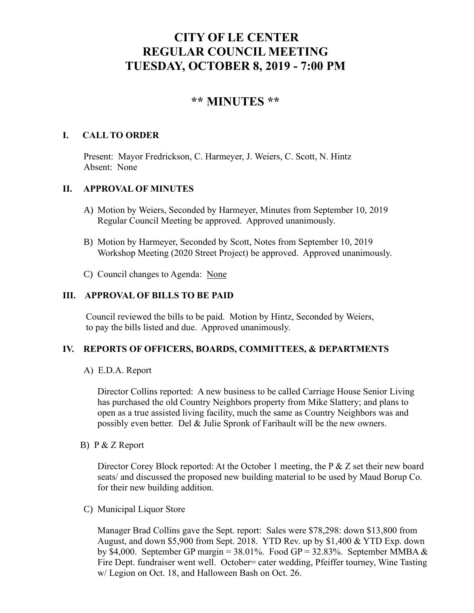# **CITY OF LE CENTER REGULAR COUNCIL MEETING TUESDAY, OCTOBER 8, 2019 - 7:00 PM**

# **\*\* MINUTES \*\***

# **I. CALL TO ORDER**

Present: Mayor Fredrickson, C. Harmeyer, J. Weiers, C. Scott, N. Hintz Absent: None

# **II. APPROVAL OF MINUTES**

- A) Motion by Weiers, Seconded by Harmeyer, Minutes from September 10, 2019 Regular Council Meeting be approved. Approved unanimously.
- B) Motion by Harmeyer, Seconded by Scott, Notes from September 10, 2019 Workshop Meeting (2020 Street Project) be approved. Approved unanimously.
- C) Council changes to Agenda: None

# **III. APPROVAL OF BILLS TO BE PAID**

Council reviewed the bills to be paid. Motion by Hintz, Seconded by Weiers, to pay the bills listed and due. Approved unanimously.

#### **IV. REPORTS OF OFFICERS, BOARDS, COMMITTEES, & DEPARTMENTS**

A) E.D.A. Report

 Director Collins reported: A new business to be called Carriage House Senior Living has purchased the old Country Neighbors property from Mike Slattery; and plans to open as a true assisted living facility, much the same as Country Neighbors was and possibly even better. Del & Julie Spronk of Faribault will be the new owners.

B) P & Z Report

Director Corey Block reported: At the October 1 meeting, the P & Z set their new board seats/ and discussed the proposed new building material to be used by Maud Borup Co. for their new building addition.

C) Municipal Liquor Store

Manager Brad Collins gave the Sept. report: Sales were \$78,298: down \$13,800 from August, and down \$5,900 from Sept. 2018. YTD Rev. up by \$1,400 & YTD Exp. down by \$4,000. September GP margin =  $38.01\%$ . Food GP =  $32.83\%$ . September MMBA & Fire Dept. fundraiser went well. October= cater wedding, Pfeiffer tourney, Wine Tasting w/ Legion on Oct. 18, and Halloween Bash on Oct. 26.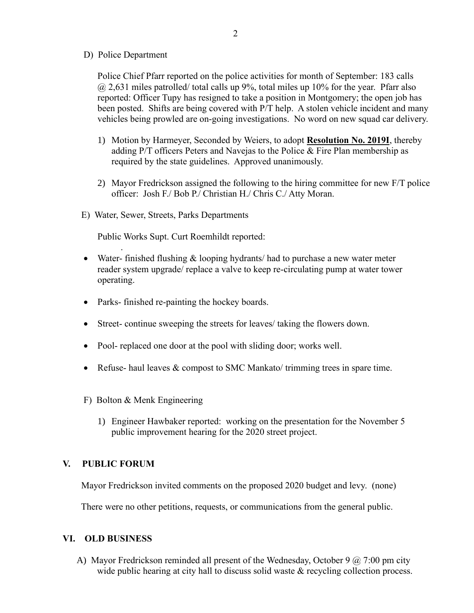D) Police Department

Police Chief Pfarr reported on the police activities for month of September: 183 calls  $(a)$  2,631 miles patrolled/ total calls up 9%, total miles up 10% for the year. Pfarr also reported: Officer Tupy has resigned to take a position in Montgomery; the open job has been posted. Shifts are being covered with P/T help. A stolen vehicle incident and many vehicles being prowled are on-going investigations. No word on new squad car delivery.

- 1) Motion by Harmeyer, Seconded by Weiers, to adopt **Resolution No. 2019I**, thereby adding P/T officers Peters and Navejas to the Police & Fire Plan membership as required by the state guidelines. Approved unanimously.
- 2) Mayor Fredrickson assigned the following to the hiring committee for new F/T police officer: Josh F./ Bob P./ Christian H./ Chris C./ Atty Moran.
- E) Water, Sewer, Streets, Parks Departments

Public Works Supt. Curt Roemhildt reported:

- Water- finished flushing & looping hydrants/had to purchase a new water meter reader system upgrade/ replace a valve to keep re-circulating pump at water tower operating.
- Parks- finished re-painting the hockey boards.
- Street- continue sweeping the streets for leaves/ taking the flowers down.
- Pool- replaced one door at the pool with sliding door; works well.
- Refuse- haul leaves & compost to SMC Mankato/ trimming trees in spare time.
- F) Bolton & Menk Engineering
	- 1) Engineer Hawbaker reported: working on the presentation for the November 5 public improvement hearing for the 2020 street project.

#### **V. PUBLIC FORUM**

.

Mayor Fredrickson invited comments on the proposed 2020 budget and levy. (none)

There were no other petitions, requests, or communications from the general public.

#### **VI. OLD BUSINESS**

A) Mayor Fredrickson reminded all present of the Wednesday, October 9  $\omega$  7:00 pm city wide public hearing at city hall to discuss solid waste & recycling collection process.